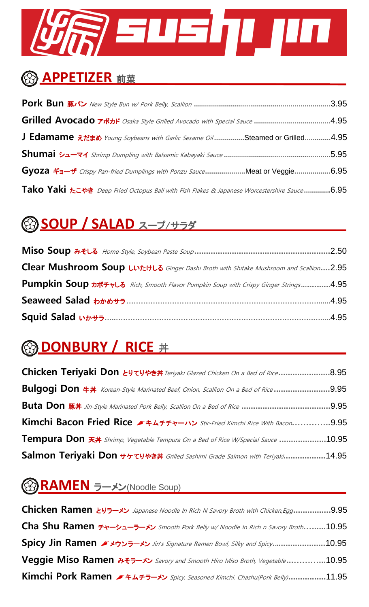# R ENEIT IN

#### **APPETIZER** 前菜

|                                                                                                                                                                                                                                                                                     | .3.95 |
|-------------------------------------------------------------------------------------------------------------------------------------------------------------------------------------------------------------------------------------------------------------------------------------|-------|
| Grilled Avocado $\vec{r}$ $\vec{r}$ $\vec{r}$ $\vec{r}$ $\vec{r}$ $\vec{r}$ $\vec{r}$ $\vec{r}$ $\vec{r}$ $\vec{r}$ $\vec{r}$ $\vec{r}$ $\vec{r}$ $\vec{r}$ $\vec{r}$ $\vec{r}$ $\vec{r}$ $\vec{r}$ $\vec{r}$ $\vec{r}$ $\vec{r}$ $\vec{r}$ $\vec{r}$ $\vec{r}$ $\vec{r}$ $\vec{r}$ |       |
| <b>J Edamame</b> $\bar{x}$ <i>t</i> $\bar{z}$ <i>to Young Soybeans with Garlic Sesame Oil</i> Steamed or Grilled4.95                                                                                                                                                                |       |
|                                                                                                                                                                                                                                                                                     | .5.95 |
| Gyoza ギョーザ Crispy Pan-fried Dumplings with Ponzu SauceMeat or Veggie6.95                                                                                                                                                                                                            |       |
| Tako Yaki <i>t</i> =++ Deep Fried Octopus Ball with Fish Flakes & Japanese Worcestershire Sauce6.95                                                                                                                                                                                 |       |

#### **SOUP / SALAD** スープ/サラダ

| Clear Mushroom Soup Luttut 6 Ginger Dashi Broth with Shitake Mushroom and Scallion2.95                          |
|-----------------------------------------------------------------------------------------------------------------|
| Pumpkin Soup $n$ <sup>**</sup> **L <sup>3</sup> Rich, Smooth Flavor Pumpkin Soup with Crispy Ginger Strings4.95 |
|                                                                                                                 |
|                                                                                                                 |

### **@ DONBURY / RICE #**

| Chicken Teriyaki Don とりてりやき丼 Teriyaki Glazed Chicken On a Bed of Rice8.95                                       |
|-----------------------------------------------------------------------------------------------------------------|
| Bulgogi Don $#$ <i>Korean-Style Marinated Beef, Onion, Scallion On a Bed of Rice</i><br>.9.95                   |
|                                                                                                                 |
| Kimchi Bacon Fried Rice $\blacktriangleright$ +4+++ $\blacktriangleright$ Stir-Fried Kimchi Rice With Bacon9.95 |
| <b>Tempura Don 天井</b> Shrimp, Vegetable Tempura On a Bed of Rice W/Special Sauce 10.95                          |
| Salmon Teriyaki Don サケてりやき丼 Grilled Sashimi Grade Salmon with Teriyaki14.95                                     |

### **RAMEN** ラーメン(Noodle Soup)

**Chicken Ramen** とりラーメン Japanese Noodle In Rich N Savory Broth with Chicken,Egg**................**9.95 **Cha Shu Ramen** チャーシューラーメン Smooth Pork Belly w/ Noodle In Rich n Savory Broth**…......**10.95 **Spicy Jin Ramen** メウンラーメン Jin*'*s Signature Ramen Bowl, Silky and Spicy**.......................**10.95 **Veggie Miso Ramen** みそラーメン Savory and Smooth Hiro Miso Broth, Vegetable **...………...**10.95 **Kimchi Pork Ramen** [キムチラ](http://jpdic.naver.com/entry/jk/JK000000020633.nhn)ーメン Spicy, Seasoned Kimchi, Chashu(Pork Belly)**................**11.95